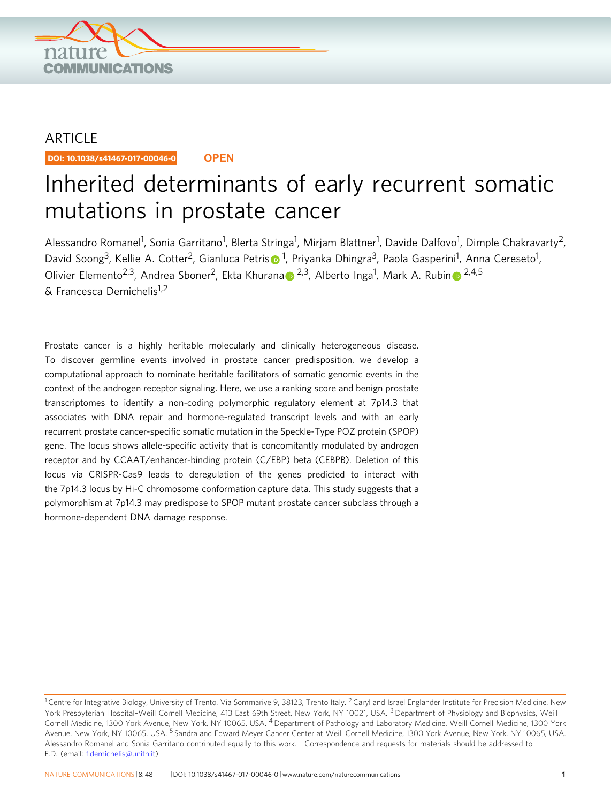

## ARTICLE

DOI: 10.1038/s41467-017-00046-0 **OPEN**

# Inherited determinants of early recurrent somatic mutations in prostate cancer

Alessandro Romanel<sup>1</sup>, Sonia Garritano<sup>1</sup>, Blerta Stringa<sup>1</sup>, Mirjam Blattner<sup>1</sup>, Davide Dalfovo<sup>1</sup>, Dimple Chakravarty<sup>2</sup>, David Soong<[s](http://orcid.org/0000-0002-2420-6359)up>3</sup>, Kellie A. Cotter<sup>2</sup>, Gianluca Petris $\bullet$ <sup>1</sup>, Priyanka Dhingra<sup>3</sup>, Paola Gasperini<sup>1</sup>, Anna Cereseto<sup>1</sup>, Olivier Elemento<sup>2,3</sup>, Andre[a](http://orcid.org/0000-0002-4351-7566) Sboner<sup>[2](http://orcid.org/0000-0002-4351-7566)</sup>, Ekta Khura[n](http://orcid.org/0000-0002-8321-9950)a D <sup>2,3</sup>, Alberto Inga<sup>1</sup>, Mark A. Rubin D <sup>2,4,5</sup> & Francesca Demichelis1,2

Prostate cancer is a highly heritable molecularly and clinically heterogeneous disease. To discover germline events involved in prostate cancer predisposition, we develop a computational approach to nominate heritable facilitators of somatic genomic events in the context of the androgen receptor signaling. Here, we use a ranking score and benign prostate transcriptomes to identify a non-coding polymorphic regulatory element at 7p14.3 that associates with DNA repair and hormone-regulated transcript levels and with an early recurrent prostate cancer-specific somatic mutation in the Speckle-Type POZ protein (SPOP) gene. The locus shows allele-specific activity that is concomitantly modulated by androgen receptor and by CCAAT/enhancer-binding protein (C/EBP) beta (CEBPB). Deletion of this locus via CRISPR-Cas9 leads to deregulation of the genes predicted to interact with the 7p14.3 locus by Hi-C chromosome conformation capture data. This study suggests that a polymorphism at 7p14.3 may predispose to SPOP mutant prostate cancer subclass through a hormone-dependent DNA damage response.

<sup>&</sup>lt;sup>1</sup> Centre for Integrative Biology, University of Trento, Via Sommarive 9, 38123, Trento Italy. <sup>2</sup> Caryl and Israel Englander Institute for Precision Medicine, New York Presbyterian Hospital-Weill Cornell Medicine, 413 East 69th Street, New York, NY 10021, USA. <sup>3</sup> Department of Physiology and Biophysics, Weill Cornell Medicine, 1300 York Avenue, New York, NY 10065, USA. <sup>4</sup> Department of Pathology and Laboratory Medicine, Weill Cornell Medicine, 1300 York Avenue, New York, NY 10065, USA. <sup>5</sup> Sandra and Edward Meyer Cancer Center at Weill Cornell Medicine, 1300 York Avenue, New York, NY 10065, USA. Alessandro Romanel and Sonia Garritano contributed equally to this work. Correspondence and requests for materials should be addressed to F.D. (email: f.demichelis@unitn.it)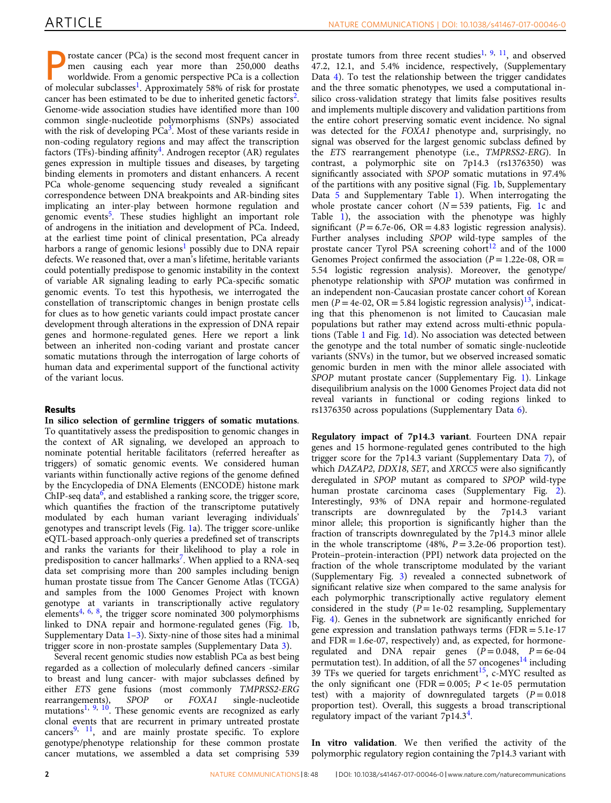rostate cancer (PCa) is the second most frequent cancer in men causing each year more than 250,000 deaths worldwide. From a genomic perspective PCa is a collection of molecular subclasses<sup>[1](#page-8-0)</sup>. Approximately 58% of risk for prostate cancer has been estimated to be due to inherited genetic factors<sup>2</sup>. Genome-wide association studies have identified more than 100 common single-nucleotide polymorphisms (SNPs) associated with the risk of developing  $PCa<sup>3</sup>$ . Most of these variants reside in non-coding regulatory regions and may affect the transcription factors (TFs)-binding affinity<sup>4</sup>. Androgen receptor (AR) regulates genes expression in multiple tissues and diseases, by targeting binding elements in promoters and distant enhancers. A recent PCa whole-genome sequencing study revealed a significant correspondence between DNA breakpoints and AR-binding sites implicating an inter-play between hormone regulation and genomic events<sup>[5](#page-8-0)</sup>. These studies highlight an important role of androgens in the initiation and development of PCa. Indeed, at the earliest time point of clinical presentation, PCa already harbors a range of genomic lesions<sup>[1](#page-8-0)</sup> possibly due to DNA repair defects. We reasoned that, over a man's lifetime, heritable variants could potentially predispose to genomic instability in the context of variable AR signaling leading to early PCa-specific somatic genomic events. To test this hypothesis, we interrogated the constellation of transcriptomic changes in benign prostate cells for clues as to how genetic variants could impact prostate cancer development through alterations in the expression of DNA repair genes and hormone-regulated genes. Here we report a link between an inherited non-coding variant and prostate cancer somatic mutations through the interrogation of large cohorts of human data and experimental support of the functional activity of the variant locus.

## Results

In silico selection of germline triggers of somatic mutations. To quantitatively assess the predisposition to genomic changes in the context of AR signaling, we developed an approach to nominate potential heritable facilitators (referred hereafter as triggers) of somatic genomic events. We considered human variants within functionally active regions of the genome defined by the Encyclopedia of DNA Elements (ENCODE) histone mark  $ChIP-seq data<sup>6</sup>$ , and established a ranking score, the trigger score, which quantifies the fraction of the transcriptome putatively modulated by each human variant leveraging individuals' genotypes and transcript levels (Fig. [1a](#page-2-0)). The trigger score-unlike eQTL-based approach-only queries a predefined set of transcripts and ranks the variants for their likelihood to play a role in predisposition to cancer hallmarks<sup>7</sup>. When applied to a RNA-seq data set comprising more than 200 samples including benign human prostate tissue from The Cancer Genome Atlas (TCGA) and samples from the 1000 Genomes Project with known genotype at variants in transcriptionally active regulatory elements<sup>[4,](#page-8-0) [6,](#page-8-0) [8](#page-8-0)</sup>, the trigger score nominated 300 polymorphisms linked to DNA repair and hormone-regulated genes (Fig. [1b](#page-2-0), Supplementary Data  $1-3$ ). Sixty-nine of those sites had a minimal trigger score in non-prostate samples (Supplementary Data 3).

Several recent genomic studies now establish PCa as best being regarded as a collection of molecularly defined cancers -similar to breast and lung cancer- with major subclasses defined by either ETS gene fusions (most commonly TMPRSS2-ERG rearrangements), SPOP or FOXA1 single-nucleotide mutations<sup>[1](#page-8-0), [9,](#page-8-0) [10](#page-8-0)</sup>. These genomic events are recognized as early clonal events that are recurrent in primary untreated prostate cancers<sup>[9](#page-8-0), [11](#page-8-0)</sup>, and are mainly prostate specific. To explore genotype/phenotype relationship for these common prostate cancer mutations, we assembled a data set comprising 539

prostate tumors from three recent studies<sup>[1](#page-8-0), [9](#page-8-0), 11</sup>, and observed 47.2, 12.1, and 5.4% incidence, respectively, (Supplementary Data 4). To test the relationship between the trigger candidates and the three somatic phenotypes, we used a computational insilico cross-validation strategy that limits false positives results and implements multiple discovery and validation partitions from the entire cohort preserving somatic event incidence. No signal was detected for the FOXA1 phenotype and, surprisingly, no signal was observed for the largest genomic subclass defined by the ETS rearrangement phenotype (i.e., TMPRSS2-ERG). In contrast, a polymorphic site on 7p14.3 (rs1376350) was significantly associated with SPOP somatic mutations in 97.4% of the partitions with any positive signal (Fig. [1](#page-2-0)b, Supplementary Data 5 and Supplementary Table 1). When interrogating the whole prostate cancer cohort  $(N = 539$  patients, Fig. [1](#page-2-0)c and Table [1](#page-3-0)), the association with the phenotype was highly significant ( $P = 6.7e-06$ ,  $OR = 4.83$  logistic regression analysis). Further analyses including SPOP wild-type samples of the prostate cancer Tyrol PSA screening cohort<sup>12</sup> and of the 1000 Genomes Project confirmed the association ( $P = 1.22e-08$ ,  $OR =$ 5.54 logistic regression analysis). Moreover, the genotype/ phenotype relationship with SPOP mutation was confirmed in an independent non-Caucasian prostate cancer cohort of Korean men ( $P = 4e-02$ , OR = 5.84 logistic regression analysis)<sup>13</sup>, indicating that this phenomenon is not limited to Caucasian male populations but rather may extend across multi-ethnic populations (Table [1](#page-3-0) and Fig. [1d](#page-2-0)). No association was detected between the genotype and the total number of somatic single-nucleotide variants (SNVs) in the tumor, but we observed increased somatic genomic burden in men with the minor allele associated with SPOP mutant prostate cancer (Supplementary Fig. 1). Linkage disequilibrium analysis on the 1000 Genomes Project data did not reveal variants in functional or coding regions linked to rs1376350 across populations (Supplementary Data 6).

Regulatory impact of 7p14.3 variant. Fourteen DNA repair genes and 15 hormone-regulated genes contributed to the high trigger score for the 7p14.3 variant (Supplementary Data 7), of which DAZAP2, DDX18, SET, and XRCC5 were also significantly deregulated in SPOP mutant as compared to SPOP wild-type human prostate carcinoma cases (Supplementary Fig. 2). Interestingly, 93% of DNA repair and hormone-regulated transcripts are downregulated by the 7p14.3 variant minor allele; this proportion is significantly higher than the fraction of transcripts downregulated by the 7p14.3 minor allele in the whole transcriptome (48%,  $P = 3.2e-06$  proportion test). Protein–protein-interaction (PPI) network data projected on the fraction of the whole transcriptome modulated by the variant (Supplementary Fig. 3) revealed a connected subnetwork of significant relative size when compared to the same analysis for each polymorphic transcriptionally active regulatory element considered in the study  $(P = 1e-02$  resampling, Supplementary Fig. 4). Genes in the subnetwork are significantly enriched for gene expression and translation pathways terms (FDR = 5.1e-17 and  $FDR = 1.6e-07$ , respectively) and, as expected, for hormoneregulated and DNA repair genes  $(P = 0.048, P = 6e-04$ permutation test). In addition, of all the 57 oncogenes<sup>14</sup> including 39 TFs we queried for targets enrichment<sup>15</sup>, c-MYC resulted as the only significant one (FDR =  $0.005$ ;  $P < 1e-05$  permutation test) with a majority of downregulated targets  $(P = 0.018)$ proportion test). Overall, this suggests a broad transcriptional regulatory impact of the variant  $7p14.3<sup>4</sup>$  $7p14.3<sup>4</sup>$  $7p14.3<sup>4</sup>$ .

In vitro validation. We then verified the activity of the polymorphic regulatory region containing the 7p14.3 variant with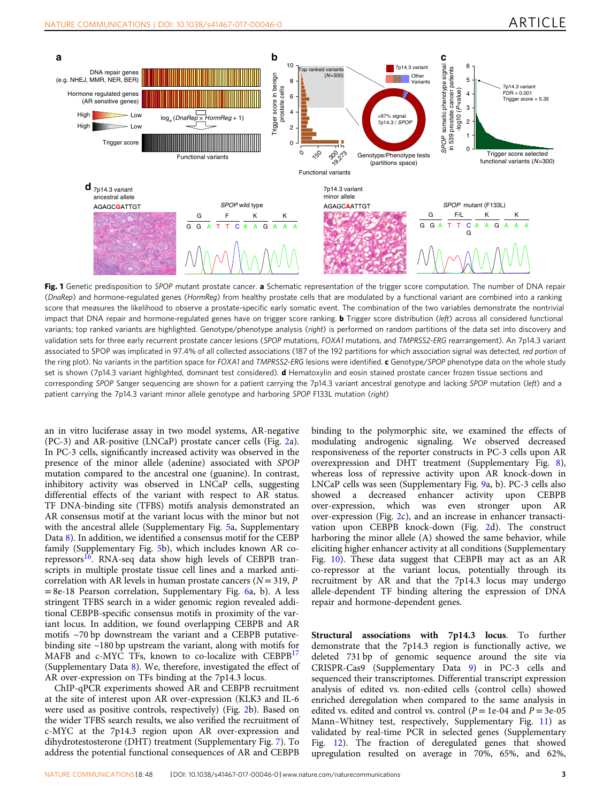<span id="page-2-0"></span>

Fig. 1 Genetic predisposition to SPOP mutant prostate cancer. a Schematic representation of the trigger score computation. The number of DNA repair (DnaRep) and hormone-regulated genes (HormReg) from healthy prostate cells that are modulated by a functional variant are combined into a ranking score that measures the likelihood to observe a prostate-specific early somatic event. The combination of the two variables demonstrate the nontrivial impact that DNA repair and hormone-regulated genes have on trigger score ranking. **b** Trigger score distribution (left) across all considered functional variants; top ranked variants are highlighted. Genotype/phenotype analysis (right) is performed on random partitions of the data set into discovery and validation sets for three early recurrent prostate cancer lesions (SPOP mutations, FOXA1 mutations, and TMPRSS2-ERG rearrangement). An 7p14.3 variant associated to SPOP was implicated in 97.4% of all collected associations (187 of the 192 partitions for which association signal was detected, red portion of the ring plot). No variants in the partition space for FOXA1 and TMPRSS2-ERG lesions were identified. c Genotype/SPOP phenotype data on the whole study set is shown (7p14.3 variant highlighted, dominant test considered). **d** Hematoxylin and eosin stained prostate cancer frozen tissue sections and corresponding SPOP Sanger sequencing are shown for a patient carrying the 7p14.3 variant ancestral genotype and lacking SPOP mutation (left) and a patient carrying the 7p14.3 variant minor allele genotype and harboring SPOP F133L mutation (right)

an in vitro luciferase assay in two model systems, AR-negative (PC-3) and AR-positive (LNCaP) prostate cancer cells (Fig. [2](#page-4-0)a). In PC-3 cells, significantly increased activity was observed in the presence of the minor allele (adenine) associated with SPOP mutation compared to the ancestral one (guanine). In contrast, inhibitory activity was observed in LNCaP cells, suggesting differential effects of the variant with respect to AR status. TF DNA-binding site (TFBS) motifs analysis demonstrated an AR consensus motif at the variant locus with the minor but not with the ancestral allele (Supplementary Fig. 5a, Supplementary Data 8). In addition, we identified a consensus motif for the CEBP family (Supplementary Fig. 5b), which includes known AR co-repressors<sup>[16](#page-8-0)</sup>. RNA-seq data show high levels of CEBPB transcripts in multiple prostate tissue cell lines and a marked anticorrelation with AR levels in human prostate cancers ( $N = 319$ , P  $= 8e-18$  Pearson correlation, Supplementary Fig. 6a, b). A less stringent TFBS search in a wider genomic region revealed additional CEBPB-specific consensus motifs in proximity of the variant locus. In addition, we found overlapping CEBPB and AR motifs ~70 bp downstream the variant and a CEBPB putativebinding site ~180 bp upstream the variant, along with motifs for MAFB and c-MYC TFs, known to co-localize with CEBPB<sup>[17](#page-8-0)</sup> (Supplementary Data 8). We, therefore, investigated the effect of AR over-expression on TFs binding at the 7p14.3 locus.

ChIP-qPCR experiments showed AR and CEBPB recruitment at the site of interest upon AR over-expression (KLK3 and IL-6 were used as positive controls, respectively) (Fig. [2](#page-4-0)b). Based on the wider TFBS search results, we also verified the recruitment of c-MYC at the 7p14.3 region upon AR over-expression and dihydrotestosterone (DHT) treatment (Supplementary Fig. 7). To address the potential functional consequences of AR and CEBPB binding to the polymorphic site, we examined the effects of modulating androgenic signaling. We observed decreased responsiveness of the reporter constructs in PC-3 cells upon AR overexpression and DHT treatment (Supplementary Fig. 8), whereas loss of repressive activity upon AR knock-down in LNCaP cells was seen (Supplementary Fig. 9a, b). PC-3 cells also showed a decreased enhancer activity upon CEBPB over-expression, which was even stronger upon AR over-expression (Fig. [2](#page-4-0)c), and an increase in enhancer transactivation upon CEBPB knock-down (Fig. [2d](#page-4-0)). The construct harboring the minor allele (A) showed the same behavior, while eliciting higher enhancer activity at all conditions (Supplementary Fig. 10). These data suggest that CEBPB may act as an AR co-repressor at the variant locus, potentially through its recruitment by AR and that the 7p14.3 locus may undergo allele-dependent TF binding altering the expression of DNA repair and hormone-dependent genes.

Structural associations with 7p14.3 locus. To further demonstrate that the 7p14.3 region is functionally active, we deleted 731 bp of genomic sequence around the site via CRISPR-Cas9 (Supplementary Data 9) in PC-3 cells and sequenced their transcriptomes. Differential transcript expression analysis of edited vs. non-edited cells (control cells) showed enriched deregulation when compared to the same analysis in edited vs. edited and control vs. control ( $P = 1e-04$  and  $P = 3e-05$ Mann–Whitney test, respectively, Supplementary Fig. 11) as validated by real-time PCR in selected genes (Supplementary Fig. 12). The fraction of deregulated genes that showed upregulation resulted on average in 70%, 65%, and 62%,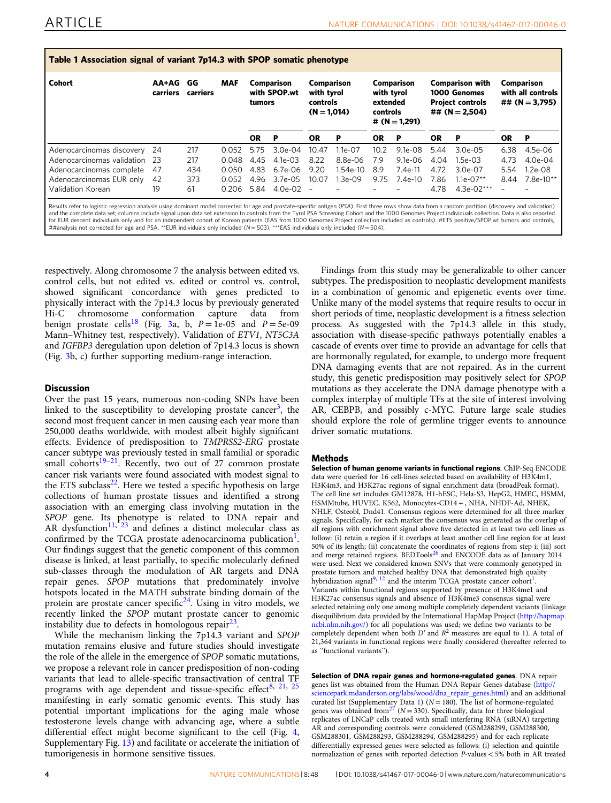<span id="page-3-0"></span>

| Table 1 Association signal of variant 7p14.3 with SPOP somatic phenotype |                   |                |            |                                      |              |                                                       |             |                                                                     |             |                                                                                       |               |                                                     |             |
|--------------------------------------------------------------------------|-------------------|----------------|------------|--------------------------------------|--------------|-------------------------------------------------------|-------------|---------------------------------------------------------------------|-------------|---------------------------------------------------------------------------------------|---------------|-----------------------------------------------------|-------------|
| <b>Cohort</b>                                                            | AA+AG<br>carriers | GG<br>carriers | <b>MAF</b> | Comparison<br>with SPOP.wt<br>tumors |              | Comparison<br>with tyrol<br>controls<br>$(N = 1.014)$ |             | Comparison<br>with tyrol<br>extended<br>controls<br># $(N = 1,291)$ |             | <b>Comparison with</b><br>1000 Genomes<br><b>Project controls</b><br>## $(N = 2.504)$ |               | Comparison<br>with all controls<br>## $(N = 3,795)$ |             |
|                                                                          |                   |                |            | <b>OR</b>                            | -P           | <b>OR</b>                                             | P           | <b>OR</b>                                                           | Р           | <b>OR</b>                                                                             | P             | <b>OR</b>                                           | P           |
| Adenocarcinomas discovery                                                | -24               | 217            | 0.052      | 5.75                                 | $3.0e-04$    | 10.47                                                 | $1.1e - 07$ | 10.2                                                                | $9.1e-0.8$  | 5.44                                                                                  | $3.0e-0.5$    | 6.38                                                | $4.5e-06$   |
| Adenocarcinomas validation                                               | -23               | 217            | 0.048      | 4.45                                 | $4.1e-0.3$   | 8.22                                                  | 8.8e-06     | 7.9                                                                 | $9.1e - 06$ | 4.04                                                                                  | $1.5e-03$     | 4.73                                                | $4.0e-04$   |
| Adenocarcinomas complete                                                 | 47                | 434            | 0.050      | 4.83                                 | $6.7e-06$    | 9.20                                                  | $1.54e-10$  | 8.9                                                                 | $7.4e-11$   | 4.72                                                                                  | $3.0e-07$     | 5.54                                                | $1.2e-0.8$  |
| Adenocarcinomas EUR only                                                 | 42                | 373            | 0.052      | 4.96                                 | $3.7e - 0.5$ | 10.07                                                 | $1.3e-09$   | 9.75                                                                | $7.4e-10$   | 7.86                                                                                  | $1.1e - 07**$ | 8.44                                                | $7.8e-10**$ |
| Validation Korean                                                        | 19                | 61             | 0.206      | 5.84                                 | 4.0e-02      | $\overline{\phantom{a}}$                              |             |                                                                     |             | 4.78                                                                                  | 4.3e-02***    |                                                     |             |

Results refer to logistic regression analysis using dominant model corrected for age and prostate-specific antigen (PSA). First three rows show data from a random partition (discovery and validation) and the complete data set; columns include signal upon data set extension to controls from the Tyrol PSA Screening Cohort and the 1000 Genomes Project individuals collection. Data is also reported for EUR descent individuals only and for an independent cohort of Korean patients (EAS from 1000 Genomes Project collection included as controls). #ETS positive/SPOP.wt tumors and controls, ##analysis not corrected for age and PSA, \*\*EUR individuals only included (N = 503), \*\*\*EAS individuals only included (N = 504).

respectively. Along chromosome 7 the analysis between edited vs. control cells, but not edited vs. edited or control vs. control, showed significant concordance with genes predicted to physically interact with the 7p14.3 locus by previously generated Hi-C chromosome conformation capture data from benign prostate cells<sup>[18](#page-8-0)</sup> (Fig. [3](#page-5-0)a, b,  $P = 1e-05$  and  $P = 5e-09$ Mann–Whitney test, respectively). Validation of ETV1, NT5C3A and IGFBP3 deregulation upon deletion of 7p14.3 locus is shown (Fig. [3](#page-5-0)b, c) further supporting medium-range interaction.

### **Discussion**

Over the past 15 years, numerous non-coding SNPs have been linked to the susceptibility to developing prostate cancer<sup>[3](#page-8-0)</sup>, the second most frequent cancer in men causing each year more than 250,000 deaths worldwide, with modest albeit highly significant effects. Evidence of predisposition to TMPRSS2-ERG prostate cancer subtype was previously tested in small familial or sporadic small cohorts<sup>[19](#page-8-0)–21</sup>. Recently, two out of 27 common prostate cancer risk variants were found associated with modest signal to the ETS subclass $^{22}$ . Here we tested a specific hypothesis on large collections of human prostate tissues and identified a strong association with an emerging class involving mutation in the SPOP gene. Its phenotype is related to DNA repair and AR dysfunction<sup>[11](#page-8-0), [23](#page-8-0)</sup> and defines a distinct molecular class as confirmed by the TCGA prostate adenocarcinoma publication<sup>1</sup>. Our findings suggest that the genetic component of this common disease is linked, at least partially, to specific molecularly defined sub-classes through the modulation of AR targets and DNA repair genes. SPOP mutations that predominately involve hotspots located in the MATH substrate binding domain of the protein are prostate cancer specific $24$ . Using in vitro models, we recently linked the SPOP mutant prostate cancer to genomic instability due to defects in homologous repair $^{23}$ .

While the mechanism linking the 7p14.3 variant and SPOP mutation remains elusive and future studies should investigate the role of the allele in the emergence of SPOP somatic mutations, we propose a relevant role in cancer predisposition of non-coding variants that lead to allele-specific transactivation of central TF programs with age dependent and tissue-specific effect<sup>[8](#page-8-0), [21,](#page-8-0) [25](#page-8-0)</sup> manifesting in early somatic genomic events. This study has potential important implications for the aging male whose testosterone levels change with advancing age, where a subtle differential effect might become significant to the cell (Fig. [4,](#page-6-0) Supplementary Fig. 13) and facilitate or accelerate the initiation of tumorigenesis in hormone sensitive tissues.

Findings from this study may be generalizable to other cancer subtypes. The predisposition to neoplastic development manifests in a combination of genomic and epigenetic events over time. Unlike many of the model systems that require results to occur in short periods of time, neoplastic development is a fitness selection process. As suggested with the 7p14.3 allele in this study, association with disease-specific pathways potentially enables a cascade of events over time to provide an advantage for cells that are hormonally regulated, for example, to undergo more frequent DNA damaging events that are not repaired. As in the current study, this genetic predisposition may positively select for SPOP mutations as they accelerate the DNA damage phenotype with a complex interplay of multiple TFs at the site of interest involving AR, CEBPB, and possibly c-MYC. Future large scale studies should explore the role of germline trigger events to announce driver somatic mutations.

## **Methods**

Selection of human genome variants in functional regions. ChIP-Seq ENCODE data were queried for 16 cell-lines selected based on availability of H3K4m1, H3K4m3, and H3K27ac regions of signal enrichment data (broadPeak format). The cell line set includes GM12878, H1-hESC, Hela-S3, HepG2, HMEC, HSMM, HSMMtube, HUVEC, K562, Monocytes-CD14 + , NHA, NHDF-Ad, NHEK, NHLF, Osteobl, Dnd41. Consensus regions were determined for all three marker signals. Specifically, for each marker the consensus was generated as the overlap of all regions with enrichment signal above five detected in at least two cell lines as follow: (i) retain a region if it overlaps at least another cell line region for at least 50% of its length; (ii) concatenate the coordinates of regions from step i; (iii) sort and merge retained regions. BEDTools<sup>[26](#page-8-0)</sup> and ENCODE data as of January 2014 were used. Next we considered known SNVs that were commonly genotyped in prostate tumors and matched healthy DNA that demonstrated high quality hybridization signal $9, 12$  $9, 12$  $9, 12$  and the interim TCGA prostate cancer cohort<sup>[1](#page-8-0)</sup>. Variants within functional regions supported by presence of H3K4me1 and H3K27ac consensus signals and absence of H3K4me3 consensus signal were selected retaining only one among multiple completely dependent variants (linkage disequilibrium data provided by the International HapMap Project ([http://hapmap.](http://hapmap.ncbi.nlm.nih.gov/) [ncbi.nlm.nih.gov/](http://hapmap.ncbi.nlm.nih.gov/)) for all populations was used; we define two variants to be completely dependent when both  $D'$  and  $R^2$  measures are equal to 1). A total of 21,364 variants in functional regions were finally considered (hereafter referred to as ''functional variants'').

Selection of DNA repair genes and hormone-regulated genes. DNA repair genes list was obtained from the Human DNA Repair Genes database ([http://](http://sciencepark.mdanderson.org/labs/wood/dna_repair_genes.html) [sciencepark.mdanderson.org/labs/wood/dna\\_repair\\_genes.html](http://sciencepark.mdanderson.org/labs/wood/dna_repair_genes.html)) and an additional curated list (Supplementary Data 1) ( $N = 180$ ). The list of hormone-regulated genes was obtained from<sup>[27](#page-8-0)</sup> ( $N = 330$ ). Specifically, data for three biological replicates of LNCaP cells treated with small interfering RNA (siRNA) targeting AR and corresponding controls were considered (GSM288299, GSM288300, GSM288301, GSM288293, GSM288294, GSM288295) and for each replicate differentially expressed genes were selected as follows: (i) selection and quintile normalization of genes with reported detection P-values < 5% both in AR treated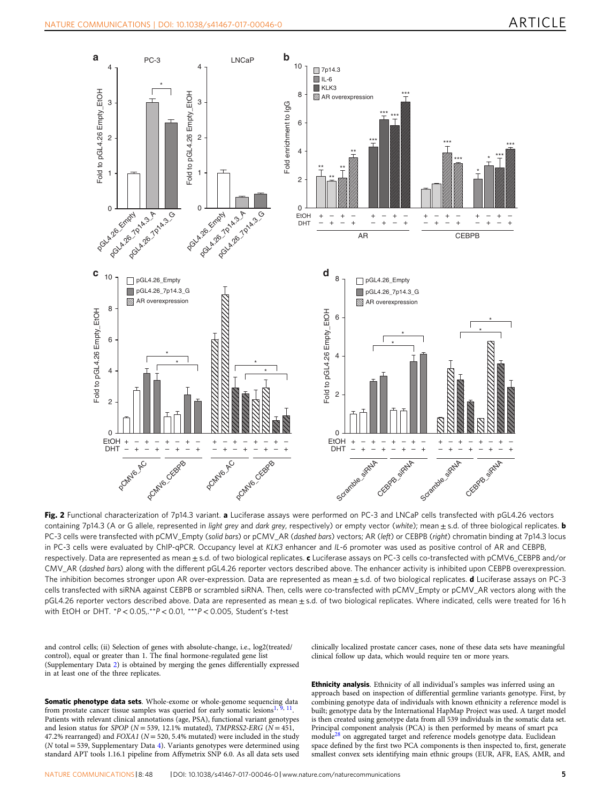<span id="page-4-0"></span>

Fig. 2 Functional characterization of 7p14.3 variant. a Luciferase assays were performed on PC-3 and LNCaP cells transfected with pGL4.26 vectors containing 7p14.3 (A or G allele, represented in light grey and dark grey, respectively) or empty vector (white); mean  $\pm$  s.d. of three biological replicates. **b** PC-3 cells were transfected with pCMV\_Empty (solid bars) or pCMV\_AR (dashed bars) vectors; AR (left) or CEBPB (right) chromatin binding at 7p14.3 locus in PC-3 cells were evaluated by ChIP-qPCR. Occupancy level at KLK3 enhancer and IL-6 promoter was used as positive control of AR and CEBPB, respectively. Data are represented as mean ± s.d. of two biological replicates. c Luciferase assays on PC-3 cells co-transfected with pCMV6\_CEBPB and/or CMV\_AR (dashed bars) along with the different pGL4.26 reporter vectors described above. The enhancer activity is inhibited upon CEBPB overexpression. The inhibition becomes stronger upon AR over-expression. Data are represented as mean ± s.d. of two biological replicates. d Luciferase assays on PC-3 cells transfected with siRNA against CEBPB or scrambled siRNA. Then, cells were co-transfected with pCMV\_Empty or pCMV\_AR vectors along with the pGL4.26 reporter vectors described above. Data are represented as mean ± s.d. of two biological replicates. Where indicated, cells were treated for 16 h with EtOH or DHT. \*P < 0.05,.\*\*P < 0.01, \*\*\*P < 0.005, Student's t-test

and control cells; (ii) Selection of genes with absolute-change, i.e., log2(treated/ control), equal or greater than 1. The final hormone-regulated gene list (Supplementary Data 2) is obtained by merging the genes differentially expressed in at least one of the three replicates.

**Somatic phenotype data sets**. Whole-exome or whole-genome sequencing data from prostate cancer tissue samples was queried for early somatic lesions<sup>1</sup> Patients with relevant clinical annotations (age, PSA), functional variant genotypes and lesion status for SPOP ( $N = 539$ , 12.1% mutated), TMPRSS2-ERG ( $N = 451$ , 47.2% rearranged) and  $FOXAI$  ( $N = 520, 5.4%$  mutated) were included in the study (N total = 539, Supplementary Data 4). Variants genotypes were determined using standard APT tools 1.16.1 pipeline from Affymetrix SNP 6.0. As all data sets used

clinically localized prostate cancer cases, none of these data sets have meaningful clinical follow up data, which would require ten or more years.

Ethnicity analysis. Ethnicity of all individual's samples was inferred using an approach based on inspection of differential germline variants genotype. First, by combining genotype data of individuals with known ethnicity a reference model is built; genotype data by the International HapMap Project was used. A target model is then created using genotype data from all 539 individuals in the somatic data set. Principal component analysis (PCA) is then performed by means of smart pca module[28](#page-8-0) on aggregated target and reference models genotype data. Euclidean space defined by the first two PCA components is then inspected to, first, generate smallest convex sets identifying main ethnic groups (EUR, AFR, EAS, AMR, and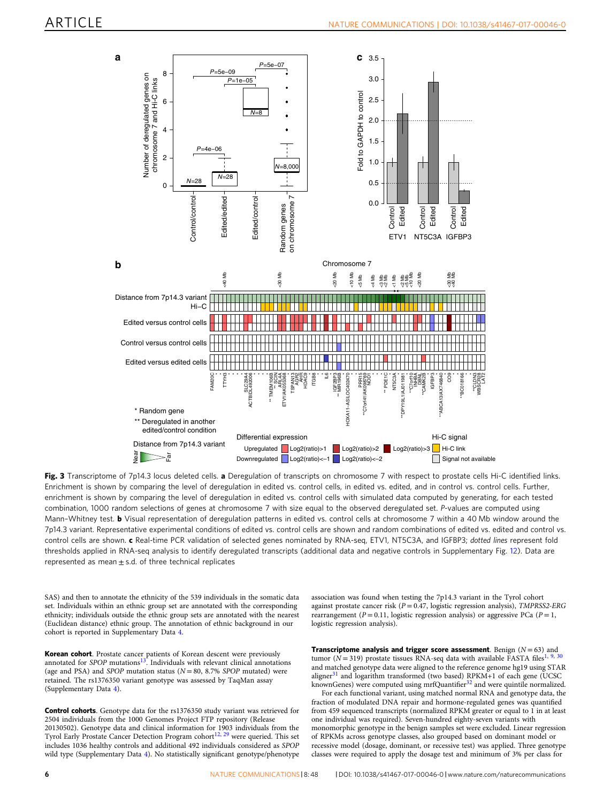<span id="page-5-0"></span>

Fig. 3 Transcriptome of 7p14.3 locus deleted cells. a Deregulation of transcripts on chromosome 7 with respect to prostate cells Hi-C identified links. Enrichment is shown by comparing the level of deregulation in edited vs. control cells, in edited vs. edited, and in control vs. control cells. Further, enrichment is shown by comparing the level of deregulation in edited vs. control cells with simulated data computed by generating, for each tested combination, 1000 random selections of genes at chromosome 7 with size equal to the observed deregulated set. P-values are computed using Mann-Whitney test. b Visual representation of deregulation patterns in edited vs. control cells at chromosome 7 within a 40 Mb window around the 7p14.3 variant. Representative experimental conditions of edited vs. control cells are shown and random combinations of edited vs. edited and control vs. control cells are shown. c Real-time PCR validation of selected genes nominated by RNA-seq, ETV1, NT5C3A, and IGFBP3; dotted lines represent fold thresholds applied in RNA-seq analysis to identify deregulated transcripts (additional data and negative controls in Supplementary Fig. 12). Data are represented as mean  $\pm$  s.d. of three technical replicates

SAS) and then to annotate the ethnicity of the 539 individuals in the somatic data set. Individuals within an ethnic group set are annotated with the corresponding ethnicity; individuals outside the ethnic group sets are annotated with the nearest (Euclidean distance) ethnic group. The annotation of ethnic background in our cohort is reported in Supplementary Data 4.

Korean cohort. Prostate cancer patients of Korean descent were previously annotated for SPOP mutations[13](#page-8-0). Individuals with relevant clinical annotations (age and PSA) and SPOP mutation status ( $N = 80$ , 8.7% SPOP mutated) were retained. The rs1376350 variant genotype was assessed by TaqMan assay (Supplementary Data 4).

Control cohorts. Genotype data for the rs1376350 study variant was retrieved for 2504 individuals from the 1000 Genomes Project FTP repository (Release 20130502). Genotype data and clinical information for 1903 individuals from the Tyrol Early Prostate Cancer Detection Program cohort<sup>[12,](#page-8-0) [29](#page-8-0)</sup> were queried. This set includes 1036 healthy controls and additional 492 individuals considered as SPOP wild type (Supplementary Data 4). No statistically significant genotype/phenotype

association was found when testing the 7p14.3 variant in the Tyrol cohort against prostate cancer risk ( $P = 0.47$ , logistic regression analysis), TMPRSS2-ERG rearrangement ( $P = 0.11$ , logistic regression analysis) or aggressive PCa ( $P = 1$ , logistic regression analysis).

Transcriptome analysis and trigger score assessment. Benign  $(N = 63)$  and tumor ( $N = 319$  $N = 319$  $N = 319$ ) prostate tissues RNA-seq data with available FASTA files<sup>1, [9,](#page-8-0) [30](#page-8-0)</sup> and matched genotype data were aligned to the reference genome hg19 using STAR aligner $31$  and logarithm transformed (two based) RPKM+1 of each gene (UCSC knownGenes) were computed using mrfQuantifier<sup>[32](#page-8-0)</sup> and were quintile normalized.

For each functional variant, using matched normal RNA and genotype data, the fraction of modulated DNA repair and hormone-regulated genes was quantified from 459 sequenced transcripts (normalized RPKM greater or equal to 1 in at least one individual was required). Seven-hundred eighty-seven variants with monomorphic genotype in the benign samples set were excluded. Linear regression of RPKMs across genotype classes, also grouped based on dominant model or recessive model (dosage, dominant, or recessive test) was applied. Three genotype classes were required to apply the dosage test and minimum of 3% per class for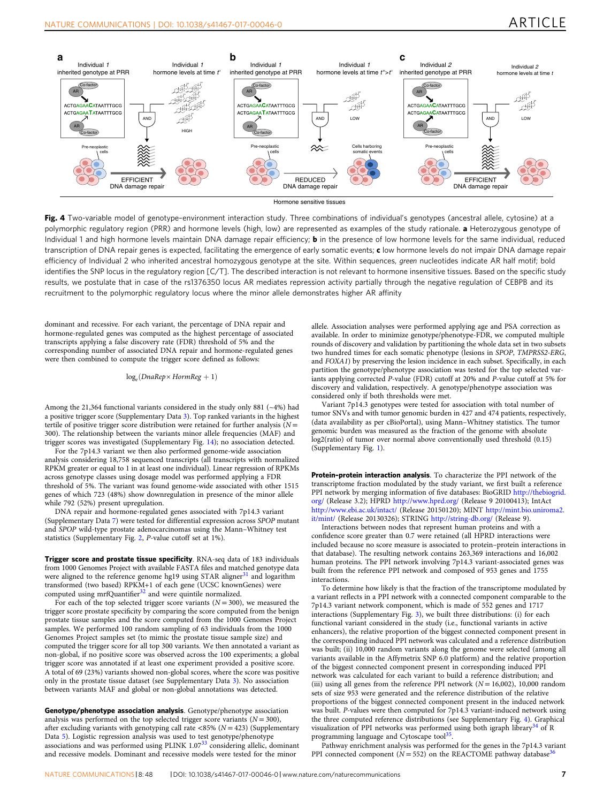<span id="page-6-0"></span>

Hormone sensitive tissues

Fig. 4 Two-variable model of genotype-environment interaction study. Three combinations of individual's genotypes (ancestral allele, cytosine) at a polymorphic regulatory region (PRR) and hormone levels (high, low) are represented as examples of the study rationale. a Heterozygous genotype of Individual 1 and high hormone levels maintain DNA damage repair efficiency; **b** in the presence of low hormone levels for the same individual, reduced transcription of DNA repair genes is expected, facilitating the emergence of early somatic events; c low hormone levels do not impair DNA damage repair efficiency of Individual 2 who inherited ancestral homozygous genotype at the site. Within sequences, green nucleotides indicate AR half motif; bold identifies the SNP locus in the regulatory region [C/T]. The described interaction is not relevant to hormone insensitive tissues. Based on the specific study results, we postulate that in case of the rs1376350 locus AR mediates repression activity partially through the negative regulation of CEBPB and its recruitment to the polymorphic regulatory locus where the minor allele demonstrates higher AR affinity

dominant and recessive. For each variant, the percentage of DNA repair and hormone-regulated genes was computed as the highest percentage of associated transcripts applying a false discovery rate (FDR) threshold of 5% and the corresponding number of associated DNA repair and hormone-regulated genes were then combined to compute the trigger score defined as follows:

 $log_e(DnaRep \times HormReg + 1)$ 

Among the 21,364 functional variants considered in the study only 881 (~4%) had a positive trigger score (Supplementary Data 3). Top ranked variants in the highest tertile of positive trigger score distribution were retained for further analysis  $(N =$ 300). The relationship between the variants minor allele frequencies (MAF) and trigger scores was investigated (Supplementary Fig. 14); no association detected.

For the 7p14.3 variant we then also performed genome-wide association analysis considering 18,758 sequenced transcripts (all transcripts with normalized RPKM greater or equal to 1 in at least one individual). Linear regression of RPKMs across genotype classes using dosage model was performed applying a FDR threshold of 5%. The variant was found genome-wide associated with other 1515 genes of which 723 (48%) show downregulation in presence of the minor allele while 792 (52%) present upregulation.

DNA repair and hormone-regulated genes associated with 7p14.3 variant (Supplementary Data 7) were tested for differential expression across SPOP mutant and SPOP wild-type prostate adenocarcinomas using the Mann–Whitney test statistics (Supplementary Fig. 2, P-value cutoff set at 1%).

Trigger score and prostate tissue specificity. RNA-seq data of 183 individuals from 1000 Genomes Project with available FASTA files and matched genotype data were aligned to the reference genome hg19 using STAR aligner<sup>[31](#page-8-0)</sup> and logarithm transformed (two based) RPKM+1 of each gene (UCSC knownGenes) were computed using mrfQuantifier<sup>[32](#page-8-0)</sup> and were quintile normalized.

For each of the top selected trigger score variants ( $N = 300$ ), we measured the trigger score prostate specificity by comparing the score computed from the benign prostate tissue samples and the score computed from the 1000 Genomes Project samples. We performed 100 random sampling of 63 individuals from the 1000 Genomes Project samples set (to mimic the prostate tissue sample size) and computed the trigger score for all top 300 variants. We then annotated a variant as non-global, if no positive score was observed across the 100 experiments; a global trigger score was annotated if at least one experiment provided a positive score. A total of 69 (23%) variants showed non-global scores, where the score was positive only in the prostate tissue dataset (see Supplementary Data 3). No association between variants MAF and global or non-global annotations was detected.

Genotype/phenotype association analysis. Genotype/phenotype association analysis was performed on the top selected trigger score variants  $(N = 300)$ , after excluding variants with genotyping call rate <85% ( $N = 423$ ) (Supplementary Data 5). Logistic regression analysis was used to test genotype/phenotype associations and was performed using PLINK 1.07<sup>[33](#page-8-0)</sup> considering allelic, dominant and recessive models. Dominant and recessive models were tested for the minor

allele. Association analyses were performed applying age and PSA correction as available. In order to minimize genotype/phenotype-FDR, we computed multiple rounds of discovery and validation by partitioning the whole data set in two subsets two hundred times for each somatic phenotype (lesions in SPOP, TMPRSS2-ERG, and FOXA1) by preserving the lesion incidence in each subset. Specifically, in each partition the genotype/phenotype association was tested for the top selected variants applying corrected P-value (FDR) cutoff at 20% and P-value cutoff at 5% for discovery and validation, respectively. A genotype/phenotype association was considered only if both thresholds were met.

Variant 7p14.3 genotypes were tested for association with total number of tumor SNVs and with tumor genomic burden in 427 and 474 patients, respectively, (data availability as per cBioPortal), using Mann–Whitney statistics. The tumor genomic burden was measured as the fraction of the genome with absolute log2(ratio) of tumor over normal above conventionally used threshold (0.15) (Supplementary Fig. 1).

Protein-protein interaction analysis. To characterize the PPI network of the transcriptome fraction modulated by the study variant, we first built a reference PPI network by merging information of five databases: BioGRID [http://thebiogrid.](http://thebiogrid.org/) [org/](http://thebiogrid.org/) (Release 3.2); HPRD <http://www.hprd.org/> (Release 9 20100413); IntAct <http://www.ebi.ac.uk/intact/> (Release 20150120); MINT [http://mint.bio.uniroma2.](http://mint.bio.uniroma2.it/mint/) [it/mint/](http://mint.bio.uniroma2.it/mint/) (Release 20130326); STRING <http://string-db.org/> (Release 9).

Interactions between nodes that represent human proteins and with a confidence score greater than 0.7 were retained (all HPRD interactions were included because no score measure is associated to protein–protein interactions in that database). The resulting network contains 263,369 interactions and 16,002 human proteins. The PPI network involving 7p14.3 variant-associated genes was built from the reference PPI network and composed of 953 genes and 1755 interactions.

To determine how likely is that the fraction of the transcriptome modulated by a variant reflects in a PPI network with a connected component comparable to the 7p14.3 variant network component, which is made of 552 genes and 1717 interactions (Supplementary Fig. 3), we built three distributions: (i) for each functional variant considered in the study (i.e., functional variants in active enhancers), the relative proportion of the biggest connected component present in the corresponding induced PPI network was calculated and a reference distribution was built; (ii) 10,000 random variants along the genome were selected (among all variants available in the Affymetrix SNP 6.0 platform) and the relative proportion of the biggest connected component present in corresponding induced PPI network was calculated for each variant to build a reference distribution; and (iii) using all genes from the reference PPI network ( $N = 16,002$ ), 10,000 random sets of size 953 were generated and the reference distribution of the relative proportions of the biggest connected component present in the induced network was built. P-values were then computed for 7p14.3 variant-induced network using the three computed reference distributions (see Supplementary Fig. 4). Graphical visualization of PPI networks was performed using both igraph library $34$  of R programming language and Cytoscape tool<sup>[35](#page-8-0)</sup>.

Pathway enrichment analysis was performed for the genes in the 7p14.3 variant PPI connected component ( $N = 552$ ) on the REACTOME pathway database<sup>3</sup>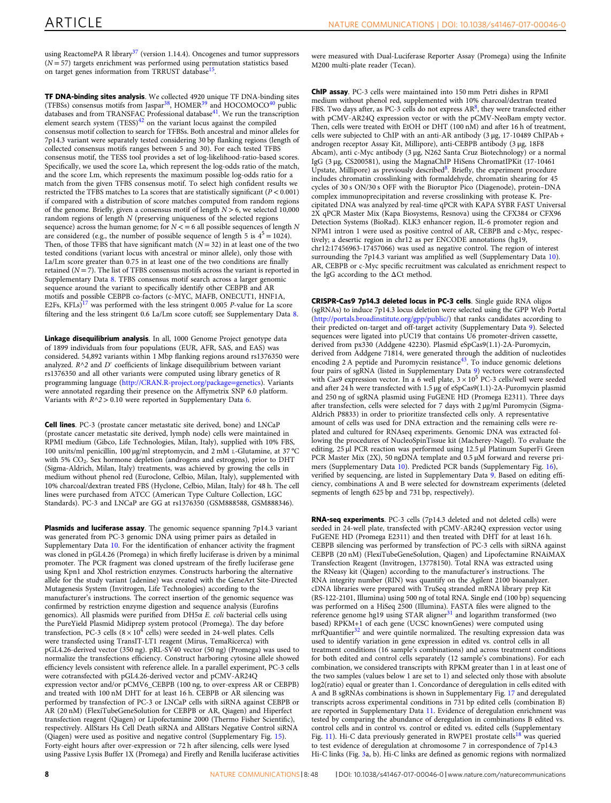using ReactomePA R library<sup>37</sup> (version 1.14.4). Oncogenes and tumor suppressors  $(N = 57)$  targets enrichment was performed using permutation statistics based on target genes information from TRRUST database<sup>[15](#page-8-0)</sup>.

TF DNA-binding sites analysis. We collected 4920 unique TF DNA-binding sites (TFBSs) consensus motifs from Jaspar[38,](#page-8-0) HOME[R39](#page-8-0) and HOCOMOCO[40](#page-8-0) public databases and from TRANSFAC Professional database<sup>41</sup>. We run the transcription element search system  $(TESS)^{42}$  $(TESS)^{42}$  $(TESS)^{42}$  on the variant locus against the compiled consensus motif collection to search for TFBSs. Both ancestral and minor alleles for 7p14.3 variant were separately tested considering 30 bp flanking regions (length of collected consensus motifs ranges between 5 and 30). For each tested TFBS consensus motif, the TESS tool provides a set of log-likelihood-ratio-based scores. Specifically, we used the score La, which represent the log-odds ratio of the match, and the score Lm, which represents the maximum possible log-odds ratio for a match from the given TFBS consensus motif. To select high confident results we restricted the TFBS matches to La scores that are statistically significant ( $P < 0.001$ ) if compared with a distribution of score matches computed from random regions of the genome. Briefly, given a consensus motif of length  $N > 6$ , we selected 10,000 random regions of length N (preserving uniqueness of the selected regions sequence) across the human genome; for  $N < = 6$  all possible sequences of length N are considered (e.g., the number of possible sequence of length 5 is  $4^5 = 1024$ ). Then, of those TFBS that have significant match  $(N = 32)$  in at least one of the two tested conditions (variant locus with ancestral or minor allele), only those with La/Lm score greater than 0.75 in at least one of the two conditions are finally retained  $(N = 7)$ . The list of TFBS consensus motifs across the variant is reported in Supplementary Data 8. TFBS consensus motif search across a larger genomic sequence around the variant to specifically identify other CEBPB and AR motifs and possible CEBPB co-factors (c-MYC, MAFB, ONECUT1, HNF1A,<br>E2Fs, KFLs)<sup>[17](#page-8-0)</sup> was performed with the less stringent 0.005 *P*-value for La score filtering and the less stringent 0.6 La/Lm score cutoff; see Supplementary Data 8.

Linkage disequilibrium analysis. In all, 1000 Genome Project genotype data of 1899 individuals from four populations (EUR, AFR, SAS, and EAS) was considered. 54,892 variants within 1 Mbp flanking regions around rs1376350 were analyzed.  $R^{\wedge}2$  and  $D'$  coefficients of linkage disequilibrium between variant rs1376350 and all other variants were computed using library genetics of R programming language ([http://CRAN.R-project.org/package](http://CRAN.R-project.org/package=genetics)=genetics). Variants were annotated regarding their presence on the Affymetrix SNP 6.0 platform. Variants with  $R^2 > 0.10$  were reported in Supplementary Data 6.

Cell lines. PC-3 (prostate cancer metastatic site derived, bone) and LNCaP (prostate cancer metastatic site derived, lymph node) cells were maintained in RPMI medium (Gibco, Life Technologies, Milan, Italy), supplied with 10% FBS, 100 units/ml penicillin, 100 µg/ml streptomycin, and 2 mM L-Glutamine, at 37 °C with 5% CO<sub>2</sub>. Sex hormone depletion (androgens and estrogens), prior to DHT (Sigma-Aldrich, Milan, Italy) treatments, was achieved by growing the cells in medium without phenol red (Euroclone, Celbio, Milan, Italy), supplemented with 10% charcoal/dextran treated FBS (Hyclone, Celbio, Milan, Italy) for 48 h. The cell lines were purchased from ATCC (American Type Culture Collection, LGC Standards). PC-3 and LNCaP are GG at rs1376350 (GSM888588, GSM888346).

Plasmids and luciferase assay. The genomic sequence spanning 7p14.3 variant was generated from PC-3 genomic DNA using primer pairs as detailed in Supplementary Data 10. For the identification of enhancer activity the fragment was cloned in pGL4.26 (Promega) in which firefly luciferase is driven by a minimal promoter. The PCR fragment was cloned upstream of the firefly luciferase gene using Kpn1 and XhoI restriction enzymes. Constructs harboring the alternative allele for the study variant (adenine) was created with the GeneArt Site-Directed Mutagenesis System (Invitrogen, Life Technologies) according to the manufacturer's instructions. The correct insertion of the genomic sequence was confirmed by restriction enzyme digestion and sequence analysis (Eurofins genomics). All plasmids were purified from DH5α E. coli bacterial cells using the PureYield Plasmid Midiprep system protocol (Promega). The day before<br>transfection, PC-3 cells (8 × 10<sup>4</sup> cells) were seeded in 24-well plates. Cells were transfected using TransIT-LT1 reagent (Mirus, TemaRicerca) with pGL4.26-derived vector (350 ng). pRL-SV40 vector (50 ng) (Promega) was used to normalize the transfections efficiency. Construct harboring cytosine allele showed efficiency levels consistent with reference allele. In a parallel experiment, PC-3 cells were cotransfected with pGL4.26-derived vector and pCMV-AR24Q expression vector and/or pCMV6\_CEBPB (100 ng, to over-express AR or CEBPB) and treated with 100 nM DHT for at least 16 h. CEBPB or AR silencing was performed by transfection of PC-3 or LNCaP cells with siRNA against CEBPB or AR (20 nM) (FlexiTubeGeneSolution for CEBPB or AR, Qiagen) and Hiperfect transfection reagent (Qiagen) or Lipofectamine 2000 (Thermo Fisher Scientific), respectively. AllStars Hs Cell Death siRNA and AllStars Negative Control siRNA (Qiagen) were used as positive and negative control (Supplementary Fig. 15). Forty-eight hours after over-expression or 72 h after silencing, cells were lysed using Passive Lysis Buffer 1X (Promega) and Firefly and Renilla luciferase activities

were measured with Dual-Luciferase Reporter Assay (Promega) using the Infinite M200 multi-plate reader (Tecan).

ChIP assay. PC-3 cells were maintained into 150 mm Petri dishes in RPMI medium without phenol red, supplemented with 10% charcoal/dextran treated FBS. Two days after, as PC-3 cells do not express  $AR^8$  $AR^8$ , they were transfected either with pCMV-AR24Q expression vector or with the pCMV-NeoBam empty vector. Then, cells were treated with EtOH or DHT (100 nM) and after 16 h of treatment, cells were subjected to ChIP with an anti-AR antibody (3 μg, 17-10489 ChIPAb + androgen receptor Assay Kit, Millipore), anti-CEBPB antibody (3 μg, 18F8 Abcam), anti c-Myc antibody (3 μg, N262 Santa Cruz Biotechnology) or a normal IgG (3 μg, CS200581), using the MagnaChIP HiSens ChromatIPKit (17-10461 Upstate, Millipore) as previously described<sup>[8](#page-8-0)</sup>. Briefly, the experiment procedure includes chromatin crosslinking with formaldehyde, chromatin shearing for 45 cycles of 30 s ON/30 s OFF with the Bioruptor Pico (Diagenode), protein–DNA complex immunoprecipitation and reverse crosslinking with protease K. Precipitated DNA was analyzed by real-time qPCR with KAPA SYBR FAST Universal 2X qPCR Master Mix (Kapa Biosystems, Resnova) using the CFX384 or CFX96 Detection Systems (BioRad). KLK3 enhancer region, IL-6 promoter region and NPM1 intron 1 were used as positive control of AR, CEBPB and c-Myc, respectively; a desertic region in chr12 as per ENCODE annotations (hg19, chr12:17456963-17457066) was used as negative control. The region of interest surrounding the 7p14.3 variant was amplified as well (Supplementary Data 10). AR, CEBPB or c-Myc specific recruitment was calculated as enrichment respect to the IgG according to the ΔCt method.

CRISPR-Cas9 7p14.3 deleted locus in PC-3 cells. Single guide RNA oligos (sgRNAs) to induce 7p14.3 locus deletion were selected using the GPP Web Portal [\(http://portals.broadinstitute.org/gpp/public/](http://portals.broadinstitute.org/gpp/public/)) that ranks candidates according to their predicted on-target and off-target activity (Supplementary Data 9). Selected sequences were ligated into pUC19 that contains U6 promoter-driven cassette, derived from px330 (Addgene 42230). Plasmid eSpCas9(1.1)-2A-Puromycin, derived from Addgene 71814, were generated through the addition of nucleotides encoding 2 A peptide and Puromycin resistance[43.](#page-8-0) To induce genomic deletions four pairs of sgRNA (listed in Supplementary Data 9) vectors were cotransfected with Cas9 expression vector. In a 6 well plate,  $3 \times 10^5$  PC-3 cells/well were seeded and after 24 h were transfected with 1.5  $\mu$ g of eSpCas9(1.1)-2A-Puromycin plasmid and 250 ng of sgRNA plasmid using FuGENE HD (Promega E2311). Three days after transfection, cells were selected for 7 days with 2 µg/ml Puromycin (Sigma-Aldrich P8833) in order to prioritize transfected cells only. A representative amount of cells was used for DNA extraction and the remaining cells were replated and cultured for RNAseq experiments. Genomic DNA was extracted following the procedures of NucleoSpinTissue kit (Macherey-Nagel). To evaluate the editing, 25 µl PCR reaction was performed using 12.5 µl Platinum SuperFi Green PCR Master Mix (2X), 50 ngDNA template and 0.5 µM forward and reverse primers (Supplementary Data 10). Predicted PCR bands (Supplementary Fig. 16), verified by sequencing, are listed in Supplementary Data 9. Based on editing efficiency, combinations A and B were selected for downstream experiments (deleted segments of length 625 bp and 731 bp, respectively).

RNA-seq experiments. PC-3 cells (7p14.3 deleted and not deleted cells) were seeded in 24-well plate, transfected with pCMV-AR24Q expression vector using FuGENE HD (Promega E2311) and then treated with DHT for at least 16 h. CEBPB silencing was performed by transfection of PC-3 cells with siRNA against CEBPB (20 nM) (FlexiTubeGeneSolution, Qiagen) and Lipofectamine RNAiMAX Transfection Reagent (Invitrogen, 13778150). Total RNA was extracted using the RNeasy kit (Qiagen) according to the manufacturer's instructions. The RNA integrity number (RIN) was quantify on the Agilent 2100 bioanalyzer. cDNA libraries were prepared with TruSeq stranded mRNA library prep Kit (RS-122-2101, Illumina) using 500 ng of total RNA. Single end (100 bp) sequencing was performed on a HiSeq 2500 (Illumina). FASTA files were aligned to the reference genome hg19 using STAR aligner<sup>[31](#page-8-0)</sup> and logarithm transformed (two based) RPKM+1 of each gene (UCSC knownGenes) were computed using mrfQuantifier<sup>[32](#page-8-0)</sup> and were quintile normalized. The resulting expression data was used to identify variation in gene expression in edited vs. control cells in all treatment conditions (16 sample's combinations) and across treatment conditions for both edited and control cells separately (12 sample's combinations). For each combination, we considered transcripts with RPKM greater than 1 in at least one of the two samples (values below 1 are set to 1) and selected only those with absolute log2(ratio) equal or greater than 1. Concordance of deregulation in cells edited with A and B sgRNAs combinations is shown in Supplementary Fig. 17 and deregulated transcripts across experimental conditions in 731 bp edited cells (combination B) are reported in Supplementary Data 11. Evidence of deregulation enrichment was tested by comparing the abundance of deregulation in combinations B edited vs. control cells and in control vs. control or edited vs. edited cells (Supplementary Fig. 11). Hi-C data previously generated in RWPE1 prostate cells<sup>[18](#page-8-0)</sup> was queried to test evidence of deregulation at chromosome 7 in correspondence of 7p14.3 Hi-C links (Fig. [3a](#page-5-0), b). Hi-C links are defined as genomic regions with normalized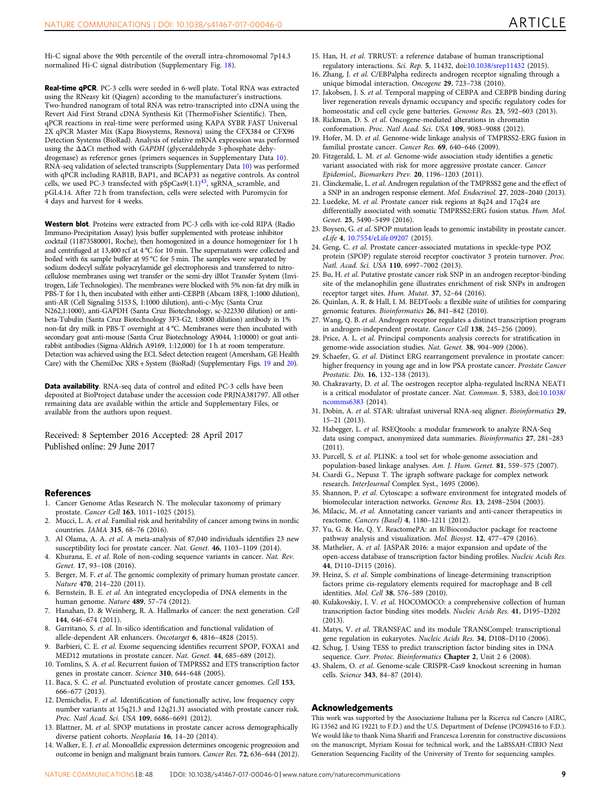<span id="page-8-0"></span>Hi-C signal above the 90th percentile of the overall intra-chromosomal 7p14.3 normalized Hi-C signal distribution (Supplementary Fig. 18).

Real-time qPCR. PC-3 cells were seeded in 6-well plate. Total RNA was extracted using the RNeasy kit (Qiagen) according to the manufacturer's instructions. Two-hundred nanogram of total RNA was retro-transcripted into cDNA using the Revert Aid First Strand cDNA Synthesis Kit (ThermoFisher Scientific). Then, qPCR reactions in real-time were performed using KAPA SYBR FAST Universal 2X qPCR Master Mix (Kapa Biosystems, Resnova) using the CFX384 or CFX96 Detection Systems (BioRad). Analysis of relative mRNA expression was performed using the ΔΔCt method with GAPDH (glyceraldehyde 3-phosphate dehydrogenase) as reference genes (primers sequences in Supplementary Data 10). RNA-seq validation of selected transcripts (Supplementary Data 10) was performed with qPCR including RAB1B, BAP1, and BCAP31 as negative controls. As control cells, we used PC-3 transfected with  $pSpCas(1.1)<sup>43</sup>$ , sgRNA\_scramble, and pGL4.14. After 72 h from transfection, cells were selected with Puromycin for 4 days and harvest for 4 weeks.

Western blot. Proteins were extracted from PC-3 cells with ice-cold RIPA (Radio Immuno-Precipitation Assay) lysis buffer supplemented with protease inhibitor cocktail (11873580001, Roche), then homogenized in a dounce homogenizer for 1 h and centrifuged at 13,400 rcf at 4 °C for 10 min. The supernatants were collected and boiled with 6x sample buffer at 95 °C for 5 min. The samples were separated by sodium dodecyl sulfate polyacrylamide gel electrophoresis and transferred to nitrocellulose membranes using wet transfer or the semi-dry iBlot Transfer System (Invitrogen, Life Technologies). The membranes were blocked with 5% non-fat dry milk in PBS-T for 1 h, then incubated with either anti-CEBPB (Abcam 18F8, 1:1000 dilution), anti-AR (Cell Signaling 5153 S, 1:1000 dilution), anti-c-Myc (Santa Cruz N262,1:1000), anti-GAPDH (Santa Cruz Biotechnology, sc-322330 dilution) or antibeta-Tubulin (Santa Cruz Biotechnology 3F3-G2, 1:8000 dilution) antibody in 1% non-fat dry milk in PBS-T overnight at 4 °C. Membranes were then incubated with secondary goat anti-mouse (Santa Cruz Biotechnology A9044, 1:10000) or goat antirabbit antibodies (Sigma-Aldrich A9169, 1:12,000) for 1 h at room temperature. Detection was achieved using the ECL Select detection reagent (Amersham, GE Health Care) with the ChemiDoc XRS + System (BioRad) (Supplementary Figs. 19 and 20).

Data availability. RNA-seq data of control and edited PC-3 cells have been deposited at BioProject database under the accession code PRJNA381797. All other remaining data are available within the article and Supplementary Files, or available from the authors upon request.

Received: 8 September 2016 Accepted: 28 April 2017 Published online: 29 June 2017

## **References**<br>1. Cancer Ger

- Cancer Genome Atlas Research N. The molecular taxonomy of primary prostate. Cancer Cell 163, 1011–1025 (2015).
- 2. Mucci, L. A. et al. Familial risk and heritability of cancer among twins in nordic countries. JAMA 315, 68–76 (2016).
- 3. Al Olama, A. A. et al. A meta-analysis of 87,040 individuals identifies 23 new susceptibility loci for prostate cancer. Nat. Genet. 46, 1103–1109 (2014).
- 4. Khurana, E. et al. Role of non-coding sequence variants in cancer. Nat. Rev. Genet. 17, 93–108 (2016).
- 5. Berger, M. F. et al. The genomic complexity of primary human prostate cancer. Nature 470, 214–220 (2011).
- 6. Bernstein, B. E. et al. An integrated encyclopedia of DNA elements in the human genome. Nature 489, 57–74 (2012).
- 7. Hanahan, D. & Weinberg, R. A. Hallmarks of cancer: the next generation. Cell 144, 646–674 (2011).
- 8. Garritano, S. et al. In-silico identification and functional validation of allele-dependent AR enhancers. Oncotarget 6, 4816–4828 (2015).
- 9. Barbieri, C. E. et al. Exome sequencing identifies recurrent SPOP, FOXA1 and MED12 mutations in prostate cancer. Nat. Genet. 44, 685–689 (2012).
- 10. Tomlins, S. A. et al. Recurrent fusion of TMPRSS2 and ETS transcription factor genes in prostate cancer. Science 310, 644-648 (2005).
- 11. Baca, S. C. et al. Punctuated evolution of prostate cancer genomes. Cell 153, 666–677 (2013).
- 12. Demichelis, F. et al. Identification of functionally active, low frequency copy number variants at 15q21.3 and 12q21.31 associated with prostate cancer risk. Proc. Natl Acad. Sci. USA 109, 6686–6691 (2012).
- 13. Blattner, M. et al. SPOP mutations in prostate cancer across demographically diverse patient cohorts. Neoplasia 16, 14–20 (2014).
- 14. Walker, E. J. et al. Monoallelic expression determines oncogenic progression and outcome in benign and malignant brain tumors. Cancer Res. 72, 636–644 (2012).
- 15. Han, H. et al. TRRUST: a reference database of human transcriptional regulatory interactions. Sci. Rep. 5, 11432, doi:[10.1038/srep11432](http://dx.doi.org/10.1038/srep11432) (2015).
- 16. Zhang, J. et al. C/EBPalpha redirects androgen receptor signaling through a unique bimodal interaction. Oncogene 29, 723-738 (2010).
- 17. Jakobsen, J. S. et al. Temporal mapping of CEBPA and CEBPB binding during liver regeneration reveals dynamic occupancy and specific regulatory codes for homeostatic and cell cycle gene batteries. Genome Res. 23, 592–603 (2013).
- 18. Rickman, D. S. et al. Oncogene-mediated alterations in chromatin conformation. Proc. Natl Acad. Sci. USA 109, 9083–9088 (2012).
- 19. Hofer, M. D. et al. Genome-wide linkage analysis of TMPRSS2-ERG fusion in familial prostate cancer. Cancer Res. 69, 640–646 (2009).
- 20. Fitzgerald, L. M. et al. Genome-wide association study identifies a genetic variant associated with risk for more aggressive prostate cancer. Cancer Epidemiol., Biomarkers Prev. 20, 1196–1203 (2011).
- 21. Clinckemalie, L. et al. Androgen regulation of the TMPRSS2 gene and the effect of a SNP in an androgen response element. Mol. Endocrinol. 27, 2028–2040 (2013).
- 22. Luedeke, M. et al. Prostate cancer risk regions at 8q24 and 17q24 are differentially associated with somatic TMPRSS2:ERG fusion status. Hum. Mol. Genet. 25, 5490–5499 (2016).
- 23. Boysen, G. et al. SPOP mutation leads to genomic instability in prostate cancer. eLife 4, [10.7554/eLife.09207](http://dx.doi.org/10.7554/eLife.09207) (2015).
- 24. Geng, C. et al. Prostate cancer-associated mutations in speckle-type POZ protein (SPOP) regulate steroid receptor coactivator 3 protein turnover. Proc. Natl. Acad. Sci. USA 110, 6997–7002 (2013).
- 25. Bu, H. et al. Putative prostate cancer risk SNP in an androgen receptor-binding site of the melanophilin gene illustrates enrichment of risk SNPs in androgen receptor target sites. Hum. Mutat. 37, 52–64 (2016).
- 26. Quinlan, A. R. & Hall, I. M. BEDTools: a flexible suite of utilities for comparing genomic features. Bioinformatics 26, 841-842 (2010).
- 27. Wang, Q. B. et al. Androgen receptor regulates a distinct transcription program in androgen-independent prostate. Cancer Cell 138, 245–256 (2009).
- 28. Price, A. L. et al. Principal components analysis corrects for stratification in genome-wide association studies. Nat. Genet. 38, 904–909 (2006).
- 29. Schaefer, G. et al. Distinct ERG rearrangement prevalence in prostate cancer: higher frequency in young age and in low PSA prostate cancer. Prostate Cancer Prostatic. Dis. 16, 132–138 (2013).
- 30. Chakravarty, D. et al. The oestrogen receptor alpha-regulated lncRNA NEAT1 is a critical modulator of prostate cancer. Nat. Commun. 5, 5383, doi[:10.1038/](http://dx.doi.org/10.1038/ncomms6383) [ncomms6383](http://dx.doi.org/10.1038/ncomms6383) (2014).
- 31. Dobin, A. et al. STAR: ultrafast universal RNA-seq aligner. Bioinformatics 29, 15–21 (2013).
- 32. Habegger, L. et al. RSEQtools: a modular framework to analyze RNA-Seq data using compact, anonymized data summaries. Bioinformatics 27, 281–283 (2011).
- 33. Purcell, S. et al. PLINK: a tool set for whole-genome association and population-based linkage analyses. Am. J. Hum. Genet. 81, 559–575 (2007).
- 34. Csardi G., Nepusz T. The igraph software package for complex network research. InterJournal Complex Syst., 1695 (2006).
- 35. Shannon, P. et al. Cytoscape: a software environment for integrated models of biomolecular interaction networks. Genome Res. 13, 2498–2504 (2003).
- 36. Milacic, M. et al. Annotating cancer variants and anti-cancer therapeutics in reactome. Cancers (Basel) 4, 1180–1211 (2012).
- 37. Yu, G. & He, Q. Y. ReactomePA: an R/Bioconductor package for reactome pathway analysis and visualization. Mol. Biosyst. 12, 477–479 (2016).
- 38. Mathelier, A. et al. JASPAR 2016: a major expansion and update of the open-access database of transcription factor binding profiles. Nucleic Acids Res. 44, D110–D115 (2016).
- 39. Heinz, S. et al. Simple combinations of lineage-determining transcription factors prime cis-regulatory elements required for macrophage and B cell identities. Mol. Cell 38, 576–589 (2010).
- 40. Kulakovskiy, I. V. et al. HOCOMOCO: a comprehensive collection of human transcription factor binding sites models. Nucleic Acids Res. 41, D195–D202 (2013).
- 41. Matys, V. et al. TRANSFAC and its module TRANSCompel: transcriptional gene regulation in eukaryotes. Nucleic Acids Res. 34, D108–D110 (2006).
- 42. Schug, J. Using TESS to predict transcription factor binding sites in DNA sequence. Curr. Protoc. Bioinformatics Chapter 2, Unit 2 6 (2008).
- 43. Shalem, O. et al. Genome-scale CRISPR-Cas9 knockout screening in human cells. Science 343, 84–87 (2014).

## Acknowledgements

This work was supported by the Associazione Italiana per la Ricerca sul Cancro (AIRC, IG 13562 and IG 19221 to F.D.) and the U.S. Department of Defense (PC094516 to F.D.). We would like to thank Nima Sharifi and Francesca Lorenzin for constructive discussions on the manuscript, Myriam Kossai for technical work, and the LaBSSAH-CIBIO Next Generation Sequencing Facility of the University of Trento for sequencing samples.